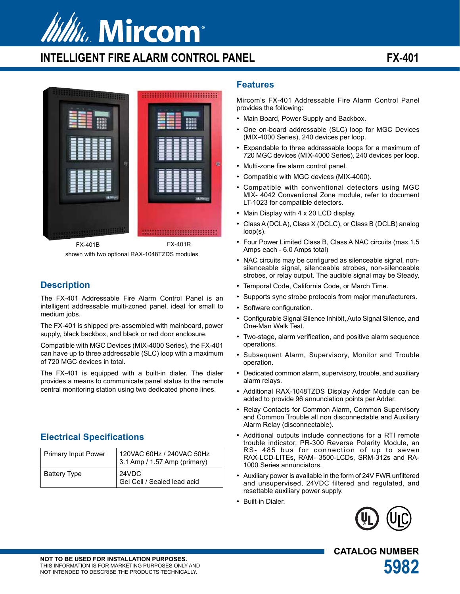

# **INTELLIGENT FIRE ALARM CONTROL PANEL FX-401**



shown with two optional RAX-1048TZDS modules

## **Description**

The FX-401 Addressable Fire Alarm Control Panel is an intelligent addressable multi-zoned panel, ideal for small to medium jobs.

The FX-401 is shipped pre-assembled with mainboard, power supply, black backbox, and black or red door enclosure.

Compatible with MGC Devices (MIX-4000 Series), the FX-401 can have up to three addressable (SLC) loop with a maximum of 720 MGC devices in total.

The FX-401 is equipped with a built-in dialer. The dialer provides a means to communicate panel status to the remote central monitoring station using two dedicated phone lines.

## **Electrical Specifications**

| <b>Primary Input Power</b> | 120VAC 60Hz / 240VAC 50Hz<br>$3.1$ Amp / 1.57 Amp (primary) |
|----------------------------|-------------------------------------------------------------|
| <b>Battery Type</b>        | 24VDC<br>Gel Cell / Sealed lead acid                        |

## **Features**

Mircom's FX-401 Addressable Fire Alarm Control Panel provides the following:

- Main Board, Power Supply and Backbox.
- One on-board addressable (SLC) loop for MGC Devices (MIX-4000 Series), 240 devices per loop.
- Expandable to three addrassable loops for a maximum of 720 MGC devices (MIX-4000 Series), 240 devices per loop.
- Multi-zone fire alarm control panel.
- Compatible with MGC devices (MIX-4000).
- Compatible with conventional detectors using MGC MIX- 4042 Conventional Zone module, refer to document LT-1023 for compatible detectors.
- Main Display with 4 x 20 LCD display.
- Class A (DCLA), Class X (DCLC), or Class B (DCLB) analog loop(s).
- Four Power Limited Class B, Class A NAC circuits (max 1.5 Amps each - 6.0 Amps total)
- NAC circuits may be configured as silenceable signal, nonsilenceable signal, silenceable strobes, non-silenceable strobes, or relay output. The audible signal may be Steady,
- Temporal Code, California Code, or March Time.
- Supports sync strobe protocols from major manufacturers.
- Software configuration.
- Configurable Signal Silence Inhibit, Auto Signal Silence, and One-Man Walk Test.
- Two-stage, alarm verification, and positive alarm sequence operations.
- Subsequent Alarm, Supervisory, Monitor and Trouble operation.
- Dedicated common alarm, supervisory, trouble, and auxiliary alarm relays.
- Additional RAX-1048TZDS Display Adder Module can be added to provide 96 annunciation points per Adder.
- Relay Contacts for Common Alarm, Common Supervisory and Common Trouble all non disconnectable and Auxiliary Alarm Relay (disconnectable).
- Additional outputs include connections for a RTI remote trouble indicator, PR-300 Reverse Polarity Module, an RS- 485 bus for connection of up to seven RAX-LCD-LITEs, RAM- 3500-LCDs, SRM-312s and RA-1000 Series annunciators.
- Auxiliary power is available in the form of 24V FWR unfiltered and unsupervised, 24VDC filtered and regulated, and resettable auxiliary power supply.
- Built-in Dialer.



**CATALOG NUMBER**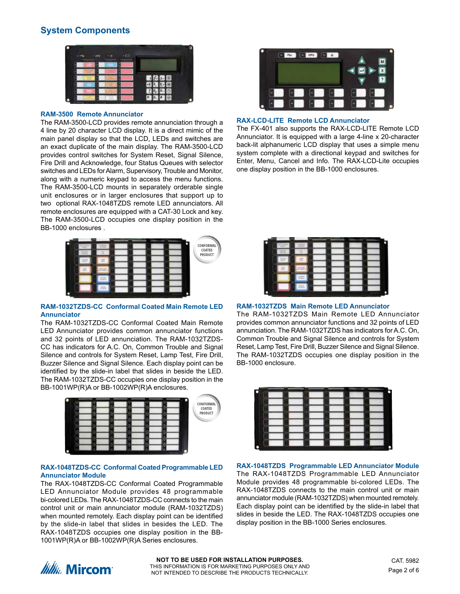## **System Components**



#### **RAM-3500 Remote Annunciator**

The RAM-3500-LCD provides remote annunciation through a 4 line by 20 character LCD display. It is a direct mimic of the main panel display so that the LCD, LEDs and switches are an exact duplicate of the main display. The RAM-3500-LCD provides control switches for System Reset, Signal Silence, Fire Drill and Acknowledge, four Status Queues with selector switches and LEDs for Alarm, Supervisory, Trouble and Monitor, along with a numeric keypad to access the menu functions. The RAM-3500-LCD mounts in separately orderable single unit enclosures or in larger enclosures that support up to two optional RAX-1048TZDS remote LED annunciators. All remote enclosures are equipped with a CAT-30 Lock and key. The RAM-3500-LCD occupies one display position in the BB-1000 enclosures .



### **RAM-1032TZDS-CC Conformal Coated Main Remote LED Annunciator**

The RAM-1032TZDS-CC Conformal Coated Main Remote LED Annunciator provides common annunciator functions and 32 points of LED annunciation. The RAM-1032TZDS-CC has indicators for A.C. On, Common Trouble and Signal Silence and controls for System Reset, Lamp Test, Fire Drill, Buzzer Silence and Signal Silence. Each display point can be identified by the slide-in label that slides in beside the LED. The RAM-1032TZDS-CC occupies one display position in the BB-1001WP(R)A or BB-1002WP(R)A enclosures.



#### **RAX-1048TZDS-CC Conformal Coated Programmable LED Annunciator Module**

The RAX-1048TZDS-CC Conformal Coated Programmable LED Annunciator Module provides 48 programmable bi-colored LEDs. The RAX-1048TZDS-CC connects to the main control unit or main annunciator module (RAM-1032TZDS) when mounted remotely. Each display point can be identified by the slide-in label that slides in besides the LED. The RAX-1048TZDS occupies one display position in the BB-1001WP(R)A or BB-1002WP(R)A Series enclosures.



### **RAX-LCD-LITE Remote LCD Annunciator**

The FX-401 also supports the RAX-LCD-LITE Remote LCD Annunciator. It is equipped with a large 4-line x 20-character back-lit alphanumeric LCD display that uses a simple menu system complete with a directional keypad and switches for Enter, Menu, Cancel and Info. The RAX-LCD-Lite occupies one display position in the BB-1000 enclosures.



### **RAM-1032TZDS Main Remote LED Annunciator**

The RAM-1032TZDS Main Remote LED Annunciator provides common annunciator functions and 32 points of LED annunciation. The RAM-1032TZDS has indicators for A.C. On, Common Trouble and Signal Silence and controls for System Reset, Lamp Test, Fire Drill, Buzzer Silence and Signal Silence. The RAM-1032TZDS occupies one display position in the BB-1000 enclosure.



**RAX-1048TZDS Programmable LED Annunciator Module** The RAX-1048TZDS Programmable LED Annunciator Module provides 48 programmable bi-colored LEDs. The RAX-1048TZDS connects to the main control unit or main annunciator module (RAM-1032TZDS) when mounted remotely. Each display point can be identified by the slide-in label that slides in beside the LED. The RAX-1048TZDS occupies one display position in the BB-1000 Series enclosures.

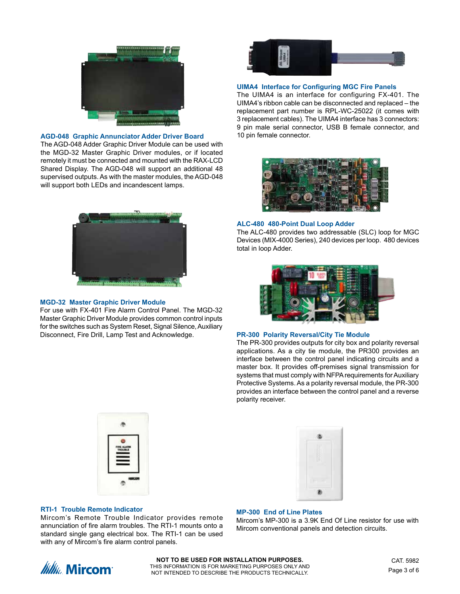

#### **AGD-048 Graphic Annunciator Adder Driver Board**

The AGD-048 Adder Graphic Driver Module can be used with the MGD-32 Master Graphic Driver modules, or if located remotely it must be connected and mounted with the RAX-LCD Shared Display. The AGD-048 will support an additional 48 supervised outputs. As with the master modules, the AGD-048 will support both LEDs and incandescent lamps.



#### **MGD-32 Master Graphic Driver Module**

For use with FX-401 Fire Alarm Control Panel. The MGD-32 Master Graphic Driver Module provides common control inputs for the switches such as System Reset, Signal Silence, Auxiliary Disconnect, Fire Drill, Lamp Test and Acknowledge. **PR-300 Polarity Reversal/City Tie Module**



#### **UIMA4 Interface for Configuring MGC Fire Panels**

The UIMA4 is an interface for configuring FX-401. The UIMA4's ribbon cable can be disconnected and replaced – the replacement part number is RPL-WC-25022 (it comes with 3 replacement cables). The UIMA4 interface has 3 connectors: 9 pin male serial connector, USB B female connector, and 10 pin female connector.



#### **ALC-480 480-Point Dual Loop Adder**

The ALC-480 provides two addressable (SLC) loop for MGC Devices (MIX-4000 Series), 240 devices per loop. 480 devices total in loop Adder.



The PR-300 provides outputs for city box and polarity reversal applications. As a city tie module, the PR300 provides an interface between the control panel indicating circuits and a master box. It provides off-premises signal transmission for systems that must comply with NFPA requirements for Auxiliary Protective Systems. As a polarity reversal module, the PR-300 provides an interface between the control panel and a reverse polarity receiver.





#### **RTI-1 Trouble Remote Indicator**

Mircom's Remote Trouble Indicator provides remote annunciation of fire alarm troubles. The RTI-1 mounts onto a standard single gang electrical box. The RTI-1 can be used with any of Mircom's fire alarm control panels.

#### **MP-300 End of Line Plates**

Mircom's MP-300 is a 3.9K End Of Line resistor for use with Mircom conventional panels and detection circuits.

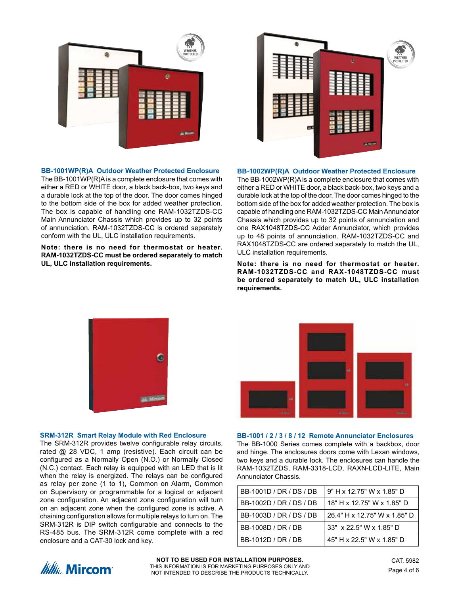

#### **BB-1001WP(R)A Outdoor Weather Protected Enclosure**

The BB-1001WP(R)A is a complete enclosure that comes with either a RED or WHITE door, a black back-box, two keys and a durable lock at the top of the door. The door comes hinged to the bottom side of the box for added weather protection. The box is capable of handling one RAM-1032TZDS-CC Main Annunciator Chassis which provides up to 32 points of annunciation. RAM-1032TZDS-CC is ordered separately conform with the UL, ULC installation requirements.

**Note: there is no need for thermostat or heater. RAM-1032TZDS-CC must be ordered separately to match UL, ULC installation requirements.**



#### **BB-1002WP(R)A Outdoor Weather Protected Enclosure**

The BB-1002WP(R)A is a complete enclosure that comes with either a RED or WHITE door, a black back-box, two keys and a durable lock at the top of the door. The door comes hinged to the bottom side of the box for added weather protection. The box is capable of handling one RAM-1032TZDS-CC Main Annunciator Chassis which provides up to 32 points of annunciation and one RAX1048TZDS-CC Adder Annunciator, which provides up to 48 points of annunciation. RAM-1032TZDS-CC and RAX1048TZDS-CC are ordered separately to match the UL, ULC installation requirements.

**Note: there is no need for thermostat or heater. RAM-1032TZDS-CC and RAX-1048TZDS-CC must be ordered separately to match UL, ULC installation requirements.**



#### **SRM-312R Smart Relay Module with Red Enclosure**

The SRM-312R provides twelve configurable relay circuits, rated @ 28 VDC, 1 amp (resistive). Each circuit can be configured as a Normally Open (N.O.) or Normally Closed (N.C.) contact. Each relay is equipped with an LED that is lit when the relay is energized. The relays can be configured as relay per zone (1 to 1), Common on Alarm, Common on Supervisory or programmable for a logical or adjacent zone configuration. An adjacent zone configuration will turn on an adjacent zone when the configured zone is active. A chaining configuration allows for multiple relays to turn on. The SRM-312R is DIP switch configurable and connects to the RS-485 bus. The SRM-312R come complete with a red enclosure and a CAT-30 lock and key.



#### **BB-1001 / 2 / 3 / 8 / 12 Remote Annunciator Enclosures**

The BB-1000 Series comes complete with a backbox, door and hinge. The enclosures doors come with Lexan windows, two keys and a durable lock. The enclosures can handle the RAM-1032TZDS, RAM-3318-LCD, RAXN-LCD-LITE, Main Annunciator Chassis.

| BB-1001D / DR / DS / DB | 9" H x 12.75" W x 1.85" D    |
|-------------------------|------------------------------|
| BB-1002D / DR / DS / DB | 18" H x 12.75" W x 1.85" D   |
| BB-1003D / DR / DS / DB | 26.4" H x 12.75" W x 1.85" D |
| BB-1008D / DR / DB      | 33" x 22.5" W x 1.85" D      |
| BB-1012D / DR / DB      | 45" H x 22.5" W x 1.85" D    |



**NOT TO BE USED FOR INSTALLATION PURPOSES.** THIS INFORMATION IS FOR MARKETING PURPOSES ONLY AND NOT INTENDED TO DESCRIBE THE PRODUCTS TECHNICALLY.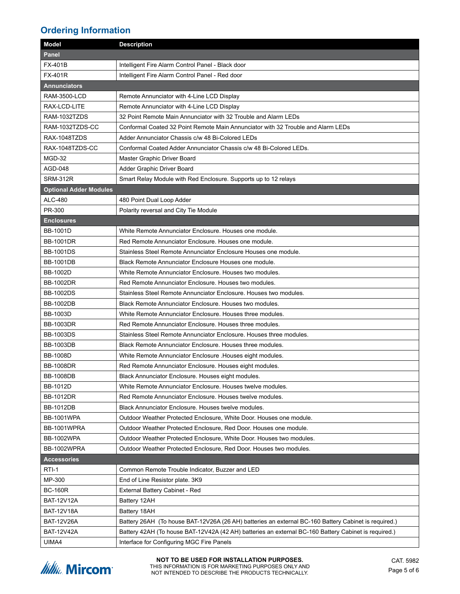## **Ordering Information**

| <b>Model</b>                  | <b>Description</b>                                                                                   |
|-------------------------------|------------------------------------------------------------------------------------------------------|
| <b>Panel</b>                  |                                                                                                      |
| <b>FX-401B</b>                | Intelligent Fire Alarm Control Panel - Black door                                                    |
| <b>FX-401R</b>                | Intelligent Fire Alarm Control Panel - Red door                                                      |
| <b>Annunciators</b>           |                                                                                                      |
| <b>RAM-3500-LCD</b>           | Remote Annunciator with 4-Line LCD Display                                                           |
| RAX-LCD-LITE                  | Remote Annunciator with 4-Line LCD Display                                                           |
| RAM-1032TZDS                  | 32 Point Remote Main Annunciator with 32 Trouble and Alarm LEDs                                      |
| RAM-1032TZDS-CC               | Conformal Coated 32 Point Remote Main Annunciator with 32 Trouble and Alarm LEDs                     |
| RAX-1048TZDS                  | Adder Annunciator Chassis c/w 48 Bi-Colored LEDs                                                     |
| RAX-1048TZDS-CC               | Conformal Coated Adder Annunciator Chassis c/w 48 Bi-Colored LEDs.                                   |
| MGD-32                        | Master Graphic Driver Board                                                                          |
| AGD-048                       | Adder Graphic Driver Board                                                                           |
| <b>SRM-312R</b>               | Smart Relay Module with Red Enclosure. Supports up to 12 relays                                      |
| <b>Optional Adder Modules</b> |                                                                                                      |
| ALC-480                       | 480 Point Dual Loop Adder                                                                            |
| PR-300                        | Polarity reversal and City Tie Module                                                                |
| <b>Enclosures</b>             |                                                                                                      |
| <b>BB-1001D</b>               | White Remote Annunciator Enclosure. Houses one module.                                               |
| <b>BB-1001DR</b>              | Red Remote Annunciator Enclosure. Houses one module.                                                 |
| <b>BB-1001DS</b>              | Stainless Steel Remote Annunciator Enclosure Houses one module.                                      |
| <b>BB-1001DB</b>              | Black Remote Annunciator Enclosure Houses one module.                                                |
| <b>BB-1002D</b>               | White Remote Annunciator Enclosure. Houses two modules.                                              |
| <b>BB-1002DR</b>              | Red Remote Annunciator Enclosure. Houses two modules.                                                |
| <b>BB-1002DS</b>              | Stainless Steel Remote Annunciator Enclosure. Houses two modules.                                    |
| <b>BB-1002DB</b>              | Black Remote Annunciator Enclosure. Houses two modules.                                              |
| <b>BB-1003D</b>               | White Remote Annunciator Enclosure. Houses three modules.                                            |
| <b>BB-1003DR</b>              | Red Remote Annunciator Enclosure. Houses three modules.                                              |
| <b>BB-1003DS</b>              | Stainless Steel Remote Annunciator Enclosure. Houses three modules.                                  |
| <b>BB-1003DB</b>              | Black Remote Annunciator Enclosure. Houses three modules.                                            |
| <b>BB-1008D</b>               | White Remote Annunciator Enclosure . Houses eight modules.                                           |
| <b>BB-1008DR</b>              | Red Remote Annunciator Enclosure. Houses eight modules.                                              |
| <b>BB-1008DB</b>              | Black Annunciator Enclosure. Houses eight modules.                                                   |
| <b>BB-1012D</b>               | White Remote Annunciator Enclosure. Houses twelve modules.                                           |
| <b>BB-1012DR</b>              | Red Remote Annunciator Enclosure. Houses twelve modules.                                             |
| <b>BB-1012DB</b>              | Black Annunciator Enclosure. Houses twelve modules.                                                  |
| <b>BB-1001WPA</b>             | Outdoor Weather Protected Enclosure, White Door. Houses one module.                                  |
| BB-1001WPRA                   | Outdoor Weather Protected Enclosure, Red Door. Houses one module.                                    |
| <b>BB-1002WPA</b>             | Outdoor Weather Protected Enclosure, White Door. Houses two modules.                                 |
| <b>BB-1002WPRA</b>            | Outdoor Weather Protected Enclosure, Red Door. Houses two modules.                                   |
| <b>Accessories</b>            |                                                                                                      |
| $RTI-1$                       | Common Remote Trouble Indicator, Buzzer and LED                                                      |
| MP-300                        | End of Line Resistor plate. 3K9                                                                      |
| <b>BC-160R</b>                | External Battery Cabinet - Red                                                                       |
| <b>BAT-12V12A</b>             | Battery 12AH                                                                                         |
| <b>BAT-12V18A</b>             | Battery 18AH                                                                                         |
| <b>BAT-12V26A</b>             | Battery 26AH (To house BAT-12V26A (26 AH) batteries an external BC-160 Battery Cabinet is required.) |
| <b>BAT-12V42A</b>             | Battery 42AH (To house BAT-12V42A (42 AH) batteries an external BC-160 Battery Cabinet is required.) |
| UIMA4                         | Interface for Configuring MGC Fire Panels                                                            |